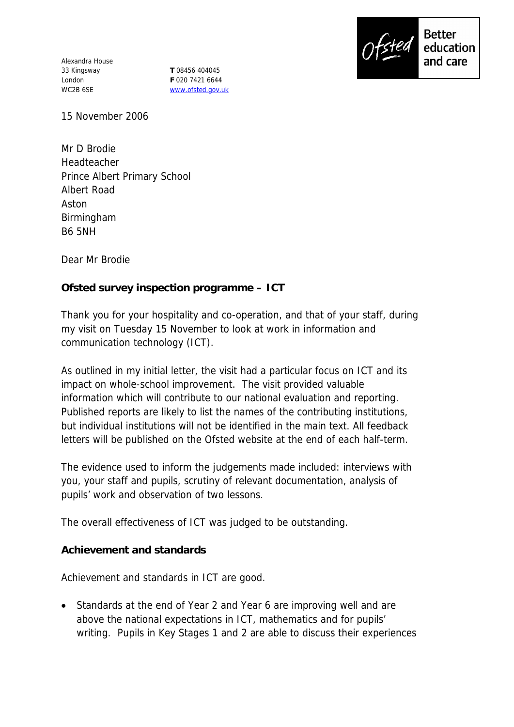Alexandra House 33 Kingsway London WC2B 6SE

**T** 08456 404045 **F** 020 7421 6644 www.ofsted.gov.uk



15 November 2006

Mr D Brodie Headteacher Prince Albert Primary School Albert Road Aston Birmingham B6 5NH

Dear Mr Brodie

**Ofsted survey inspection programme – ICT** 

Thank you for your hospitality and co-operation, and that of your staff, during my visit on Tuesday 15 November to look at work in information and communication technology (ICT).

As outlined in my initial letter, the visit had a particular focus on ICT and its impact on whole-school improvement. The visit provided valuable information which will contribute to our national evaluation and reporting. Published reports are likely to list the names of the contributing institutions, but individual institutions will not be identified in the main text. All feedback letters will be published on the Ofsted website at the end of each half-term.

The evidence used to inform the judgements made included: interviews with you, your staff and pupils, scrutiny of relevant documentation, analysis of pupils' work and observation of two lessons.

The overall effectiveness of ICT was judged to be outstanding.

**Achievement and standards** 

Achievement and standards in ICT are good.

• Standards at the end of Year 2 and Year 6 are improving well and are above the national expectations in ICT, mathematics and for pupils' writing. Pupils in Key Stages 1 and 2 are able to discuss their experiences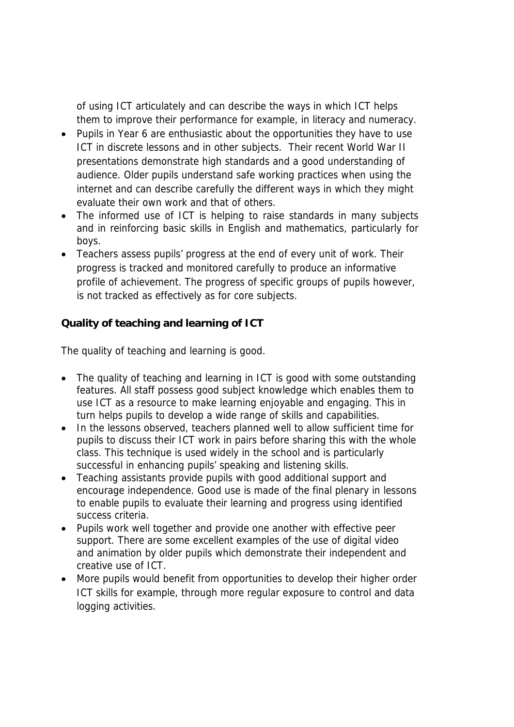of using ICT articulately and can describe the ways in which ICT helps them to improve their performance for example, in literacy and numeracy.

- Pupils in Year 6 are enthusiastic about the opportunities they have to use ICT in discrete lessons and in other subjects. Their recent World War II presentations demonstrate high standards and a good understanding of audience. Older pupils understand safe working practices when using the internet and can describe carefully the different ways in which they might evaluate their own work and that of others.
- The informed use of ICT is helping to raise standards in many subjects and in reinforcing basic skills in English and mathematics, particularly for boys.
- Teachers assess pupils' progress at the end of every unit of work. Their progress is tracked and monitored carefully to produce an informative profile of achievement. The progress of specific groups of pupils however, is not tracked as effectively as for core subjects.

**Quality of teaching and learning of ICT**

The quality of teaching and learning is good.

- The quality of teaching and learning in ICT is good with some outstanding features. All staff possess good subject knowledge which enables them to use ICT as a resource to make learning enjoyable and engaging. This in turn helps pupils to develop a wide range of skills and capabilities.
- In the lessons observed, teachers planned well to allow sufficient time for pupils to discuss their ICT work in pairs before sharing this with the whole class. This technique is used widely in the school and is particularly successful in enhancing pupils' speaking and listening skills.
- Teaching assistants provide pupils with good additional support and encourage independence. Good use is made of the final plenary in lessons to enable pupils to evaluate their learning and progress using identified success criteria.
- Pupils work well together and provide one another with effective peer support. There are some excellent examples of the use of digital video and animation by older pupils which demonstrate their independent and creative use of ICT.
- More pupils would benefit from opportunities to develop their higher order ICT skills for example, through more regular exposure to control and data logging activities.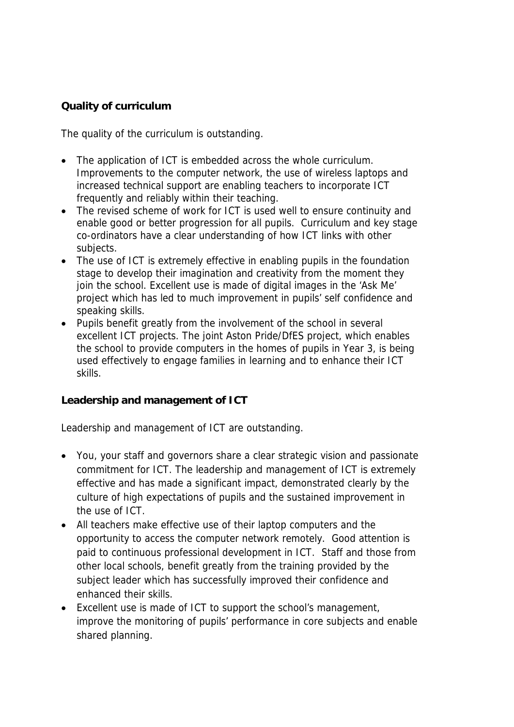## **Quality of curriculum**

The quality of the curriculum is outstanding.

- The application of ICT is embedded across the whole curriculum. Improvements to the computer network, the use of wireless laptops and increased technical support are enabling teachers to incorporate ICT frequently and reliably within their teaching.
- The revised scheme of work for ICT is used well to ensure continuity and enable good or better progression for all pupils. Curriculum and key stage co-ordinators have a clear understanding of how ICT links with other subjects.
- The use of ICT is extremely effective in enabling pupils in the foundation stage to develop their imagination and creativity from the moment they join the school. Excellent use is made of digital images in the 'Ask Me' project which has led to much improvement in pupils' self confidence and speaking skills.
- Pupils benefit greatly from the involvement of the school in several excellent ICT projects. The joint Aston Pride/DfES project, which enables the school to provide computers in the homes of pupils in Year 3, is being used effectively to engage families in learning and to enhance their ICT skills.

**Leadership and management of ICT**

Leadership and management of ICT are outstanding.

- You, your staff and governors share a clear strategic vision and passionate commitment for ICT. The leadership and management of ICT is extremely effective and has made a significant impact, demonstrated clearly by the culture of high expectations of pupils and the sustained improvement in the use of ICT.
- All teachers make effective use of their laptop computers and the opportunity to access the computer network remotely. Good attention is paid to continuous professional development in ICT. Staff and those from other local schools, benefit greatly from the training provided by the subject leader which has successfully improved their confidence and enhanced their skills.
- Excellent use is made of ICT to support the school's management, improve the monitoring of pupils' performance in core subjects and enable shared planning.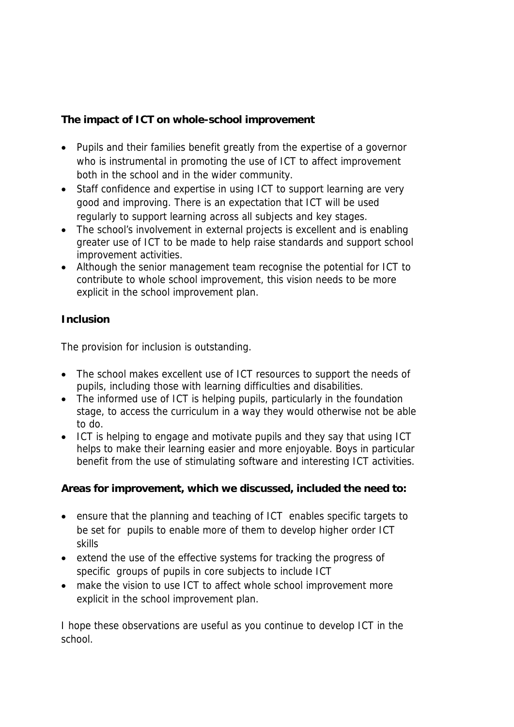**The impact of ICT on whole-school improvement**

- Pupils and their families benefit greatly from the expertise of a governor who is instrumental in promoting the use of ICT to affect improvement both in the school and in the wider community.
- Staff confidence and expertise in using ICT to support learning are very good and improving. There is an expectation that ICT will be used regularly to support learning across all subjects and key stages.
- The school's involvement in external projects is excellent and is enabling greater use of ICT to be made to help raise standards and support school improvement activities.
- Although the senior management team recognise the potential for ICT to contribute to whole school improvement, this vision needs to be more explicit in the school improvement plan.

## **Inclusion**

The provision for inclusion is outstanding.

- The school makes excellent use of ICT resources to support the needs of pupils, including those with learning difficulties and disabilities.
- The informed use of ICT is helping pupils, particularly in the foundation stage, to access the curriculum in a way they would otherwise not be able to do.
- ICT is helping to engage and motivate pupils and they say that using ICT helps to make their learning easier and more enjoyable. Boys in particular benefit from the use of stimulating software and interesting ICT activities.

**Areas for improvement, which we discussed, included the need to:**

- ensure that the planning and teaching of ICT enables specific targets to be set for pupils to enable more of them to develop higher order ICT skills
- extend the use of the effective systems for tracking the progress of specific groups of pupils in core subjects to include ICT
- make the vision to use ICT to affect whole school improvement more explicit in the school improvement plan.

I hope these observations are useful as you continue to develop ICT in the school.